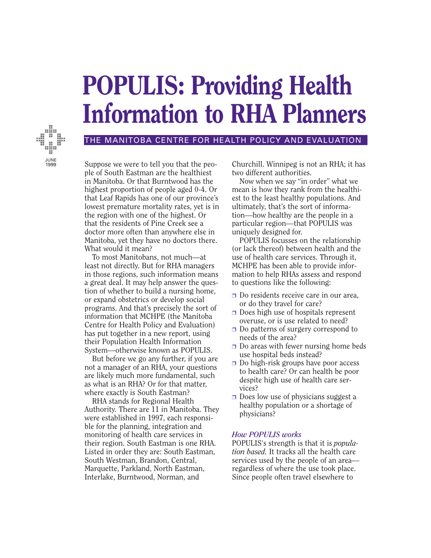# **POPULIS: Providing Health Information to RHA Planners**



## THE MANITOBA CENTRE FOR HEALTH POLICY AND EVALUATION

Suppose we were to tell you that the people of South Eastman are the healthiest in Manitoba. Or that Burntwood has the highest proportion of people aged 0-4. Or that Leaf Rapids has one of our province's lowest premature mortality rates, yet is in the region with one of the highest. Or that the residents of Pine Creek see a doctor more often than anywhere else in Manitoba, yet they have no doctors there. What would it mean?

To most Manitobans, not much—at least not directly. But for RHA managers in those regions, such information means a great deal. It may help answer the question of whether to build a nursing home, or expand obstetrics or develop social programs. And that's precisely the sort of information that MCHPE (the Manitoba Centre for Health Policy and Evaluation) has put together in a new report, using their Population Health Information System—otherwise known as POPULIS.

But before we go any further, if you are not a manager of an RHA, your questions are likely much more fundamental, such as what is an RHA? Or for that matter, where exactly is South Eastman?

RHA stands for Regional Health Authority. There are 11 in Manitoba. They were established in 1997, each responsible for the planning, integration and monitoring of health care services in their region. South Eastman is one RHA. Listed in order they are: South Eastman, South Westman, Brandon, Central, Marquette, Parkland, North Eastman, Interlake, Burntwood, Norman, and

Churchill. Winnipeg is not an RHA; it has two different authorities.

Now when we say "in order" what we mean is how they rank from the healthiest to the least healthy populations. And ultimately, that's the sort of information—how healthy are the people in a particular region—that POPULIS was uniquely designed for.

POPULIS focusses on the relationship (or lack thereof) between health and the use of health care services. Through it, MCHPE has been able to provide information to help RHAs assess and respond to questions like the following:

- ❒ Do residents receive care in our area, or do they travel for care?
- ❒ Does high use of hospitals represent overuse, or is use related to need?
- ❒ Do patterns of surgery correspond to needs of the area?
- ❒ Do areas with fewer nursing home beds use hospital beds instead?
- ❒ Do high-risk groups have poor access to health care? Or can health be poor despite high use of health care services?
- ❒ Does low use of physicians suggest a healthy population or a shortage of physicians?

# *How POPULIS works*

POPULIS's strength is that it is *population based.* It tracks all the health care services used by the people of an area regardless of where the use took place. Since people often travel elsewhere to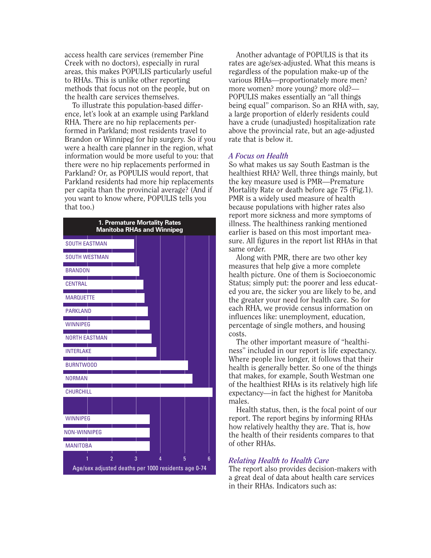access health care services (remember Pine Creek with no doctors), especially in rural areas, this makes POPULIS particularly useful to RHAs. This is unlike other reporting methods that focus not on the people, but on the health care services themselves.

To illustrate this population-based difference, let's look at an example using Parkland RHA. There are no hip replacements performed in Parkland; most residents travel to Brandon or Winnipeg for hip surgery. So if you were a health care planner in the region, what information would be more useful to you: that there were no hip replacements performed in Parkland? Or, as POPULIS would report, that Parkland residents had more hip replacements per capita than the provincial average? (And if you want to know where, POPULIS tells you that too.)

| 1. Premature Mortality Rates<br><b>Manitoba RHAs and Winnipeg</b> |   |  |   |  |   |
|-------------------------------------------------------------------|---|--|---|--|---|
| <b>SOUTH EASTMAN</b>                                              |   |  |   |  |   |
| <b>SOUTH WESTMAN</b>                                              |   |  |   |  |   |
| <b>BRANDON</b>                                                    |   |  |   |  |   |
| <b>CENTRAL</b>                                                    |   |  |   |  |   |
| <b>MARQUETTE</b>                                                  |   |  |   |  |   |
| <b>PARKLAND</b>                                                   |   |  |   |  |   |
| <b>WINNIPEG</b>                                                   |   |  |   |  |   |
| <b>NORTH EASTMAN</b>                                              |   |  |   |  |   |
| <b>INTERLAKE</b>                                                  |   |  |   |  |   |
| <b>BURNTWOOD</b>                                                  |   |  |   |  |   |
| <b>NORMAN</b>                                                     |   |  |   |  |   |
| <b>CHURCHILL</b>                                                  |   |  |   |  |   |
|                                                                   |   |  |   |  |   |
| <b>WINNIPEG</b>                                                   |   |  |   |  |   |
| <b>NON-WINNIPEG</b>                                               |   |  |   |  |   |
| <b>MANITOBA</b>                                                   |   |  |   |  |   |
| $\overline{2}$                                                    | 3 |  | 5 |  | 6 |
| Age/sex adjusted deaths per 1000 residents age 0-74               |   |  |   |  |   |

Another advantage of POPULIS is that its rates are age/sex-adjusted. What this means is regardless of the population make-up of the various RHAs—proportionately more men? more women? more young? more old?— POPULIS makes essentially an "all things being equal" comparison. So an RHA with, say, a large proportion of elderly residents could have a crude (unadjusted) hospitalization rate above the provincial rate, but an age-adjusted rate that is below it.

#### *A Focus on Health*

So what makes us say South Eastman is the healthiest RHA? Well, three things mainly, but the key measure used is PMR—Premature Mortality Rate or death before age 75 (Fig.1). PMR is a widely used measure of health because populations with higher rates also report more sickness and more symptoms of illness. The healthiness ranking mentioned earlier is based on this most important measure. All figures in the report list RHAs in that same order.

Along with PMR, there are two other key measures that help give a more complete health picture. One of them is Socioeconomic Status; simply put: the poorer and less educated you are, the sicker you are likely to be, and the greater your need for health care. So for each RHA, we provide census information on influences like: unemployment, education, percentage of single mothers, and housing costs.

The other important measure of "healthiness" included in our report is life expectancy. Where people live longer, it follows that their health is generally better. So one of the things that makes, for example, South Westman one of the healthiest RHAs is its relatively high life expectancy—in fact the highest for Manitoba males.

Health status, then, is the focal point of our report. The report begins by informing RHAs how relatively healthy they are. That is, how the health of their residents compares to that of other RHAs.

## *Relating Health to Health Care*

The report also provides decision-makers with a great deal of data about health care services in their RHAs. Indicators such as: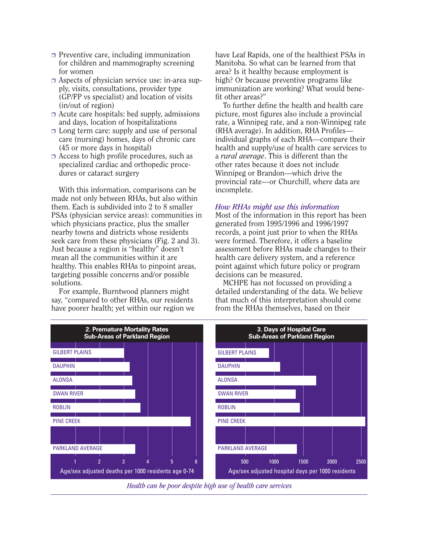- ❒ Preventive care, including immunization for children and mammography screening for women
- ❒ Aspects of physician service use: in-area supply, visits, consultations, provider type (GP/FP vs specialist) and location of visits (in/out of region)
- ❒ Acute care hospitals: bed supply, admissions and days, location of hospitalizations
- ❒ Long term care: supply and use of personal care (nursing) homes, days of chronic care (45 or more days in hospital)
- ❒ Access to high profile procedures, such as specialized cardiac and orthopedic procedures or cataract surgery

With this information, comparisons can be made not only between RHAs, but also within them. Each is subdivided into 2 to 8 smaller PSAs (physician service areas): communities in which physicians practice, plus the smaller nearby towns and districts whose residents seek care from these physicians (Fig. 2 and 3). Just because a region is "healthy" doesn't mean all the communities within it are healthy. This enables RHAs to pinpoint areas, targeting possible concerns and/or possible solutions.

For example, Burntwood planners might say, "compared to other RHAs, our residents have poorer health; yet within our region we have Leaf Rapids, one of the healthiest PSAs in Manitoba. So what can be learned from that area? Is it healthy because employment is high? Or because preventive programs like immunization are working? What would benefit other areas?"

To further define the health and health care picture, most figures also include a provincial rate, a Winnipeg rate, and a non-Winnipeg rate (RHA average). In addition, RHA Profiles individual graphs of each RHA—compare their health and supply/use of health care services to a *rural average*. This is different than the other rates because it does not include Winnipeg or Brandon—which drive the provincial rate—or Churchill, where data are incomplete.

#### *How RHAs might use this information*

Most of the information in this report has been generated from 1995/1996 and 1996/1997 records, a point just prior to when the RHAs were formed. Therefore, it offers a baseline assessment before RHAs made changes to their health care delivery system, and a reference point against which future policy or program decisions can be measured.

MCHPE has not focussed on providing a detailed understanding of the data. We believe that much of this interpretation should come from the RHAs themselves, based on their



*Health can be poor despite high use of health care services*